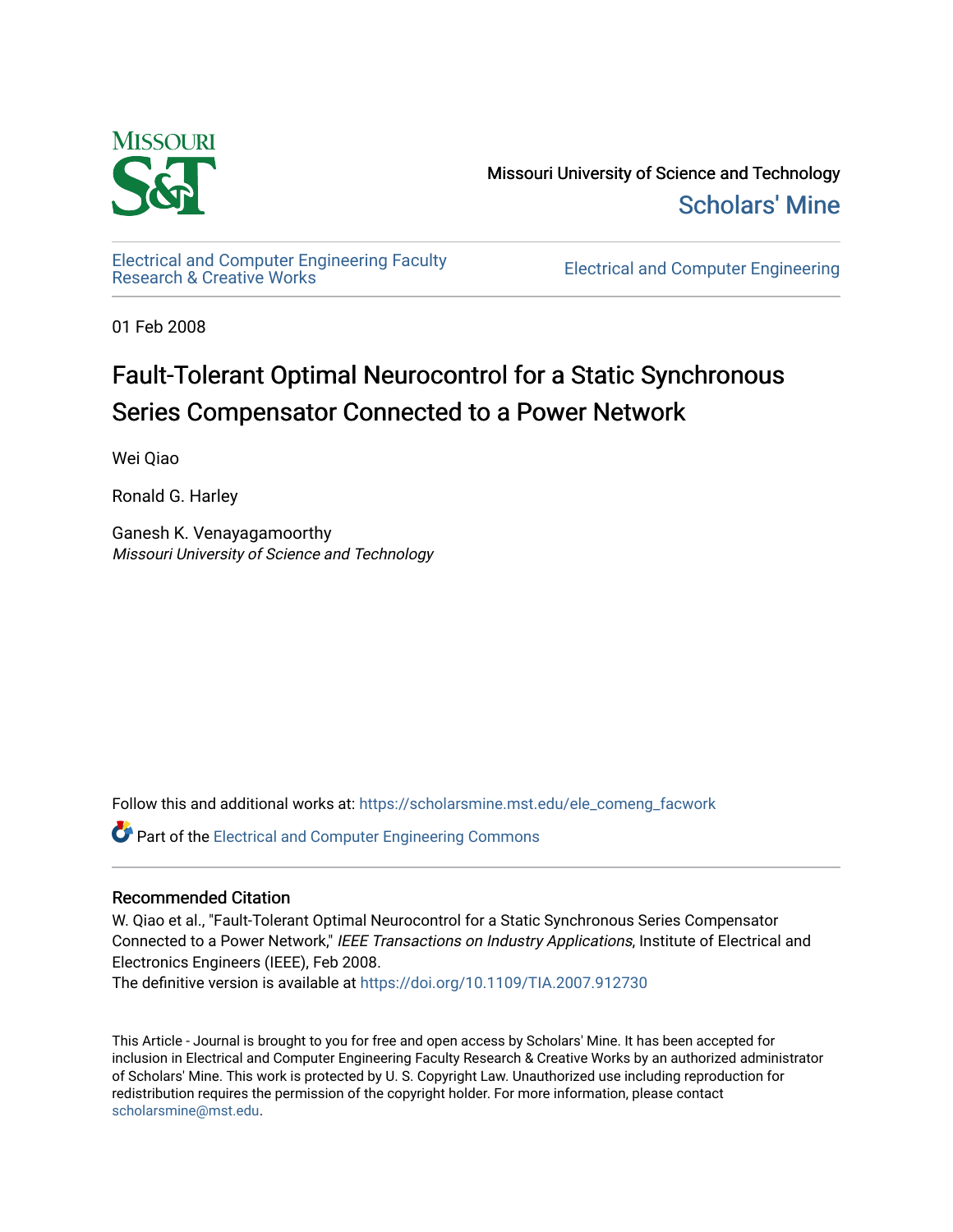

Missouri University of Science and Technology [Scholars' Mine](https://scholarsmine.mst.edu/) 

[Electrical and Computer Engineering Faculty](https://scholarsmine.mst.edu/ele_comeng_facwork)<br>Research & Creative Works

**Electrical and Computer Engineering** 

01 Feb 2008

# Fault-Tolerant Optimal Neurocontrol for a Static Synchronous Series Compensator Connected to a Power Network

Wei Qiao

Ronald G. Harley

Ganesh K. Venayagamoorthy Missouri University of Science and Technology

Follow this and additional works at: [https://scholarsmine.mst.edu/ele\\_comeng\\_facwork](https://scholarsmine.mst.edu/ele_comeng_facwork?utm_source=scholarsmine.mst.edu%2Fele_comeng_facwork%2F1626&utm_medium=PDF&utm_campaign=PDFCoverPages)

**C** Part of the Electrical and Computer Engineering Commons

# Recommended Citation

W. Qiao et al., "Fault-Tolerant Optimal Neurocontrol for a Static Synchronous Series Compensator Connected to a Power Network," IEEE Transactions on Industry Applications, Institute of Electrical and Electronics Engineers (IEEE), Feb 2008.

The definitive version is available at <https://doi.org/10.1109/TIA.2007.912730>

This Article - Journal is brought to you for free and open access by Scholars' Mine. It has been accepted for inclusion in Electrical and Computer Engineering Faculty Research & Creative Works by an authorized administrator of Scholars' Mine. This work is protected by U. S. Copyright Law. Unauthorized use including reproduction for redistribution requires the permission of the copyright holder. For more information, please contact [scholarsmine@mst.edu.](mailto:scholarsmine@mst.edu)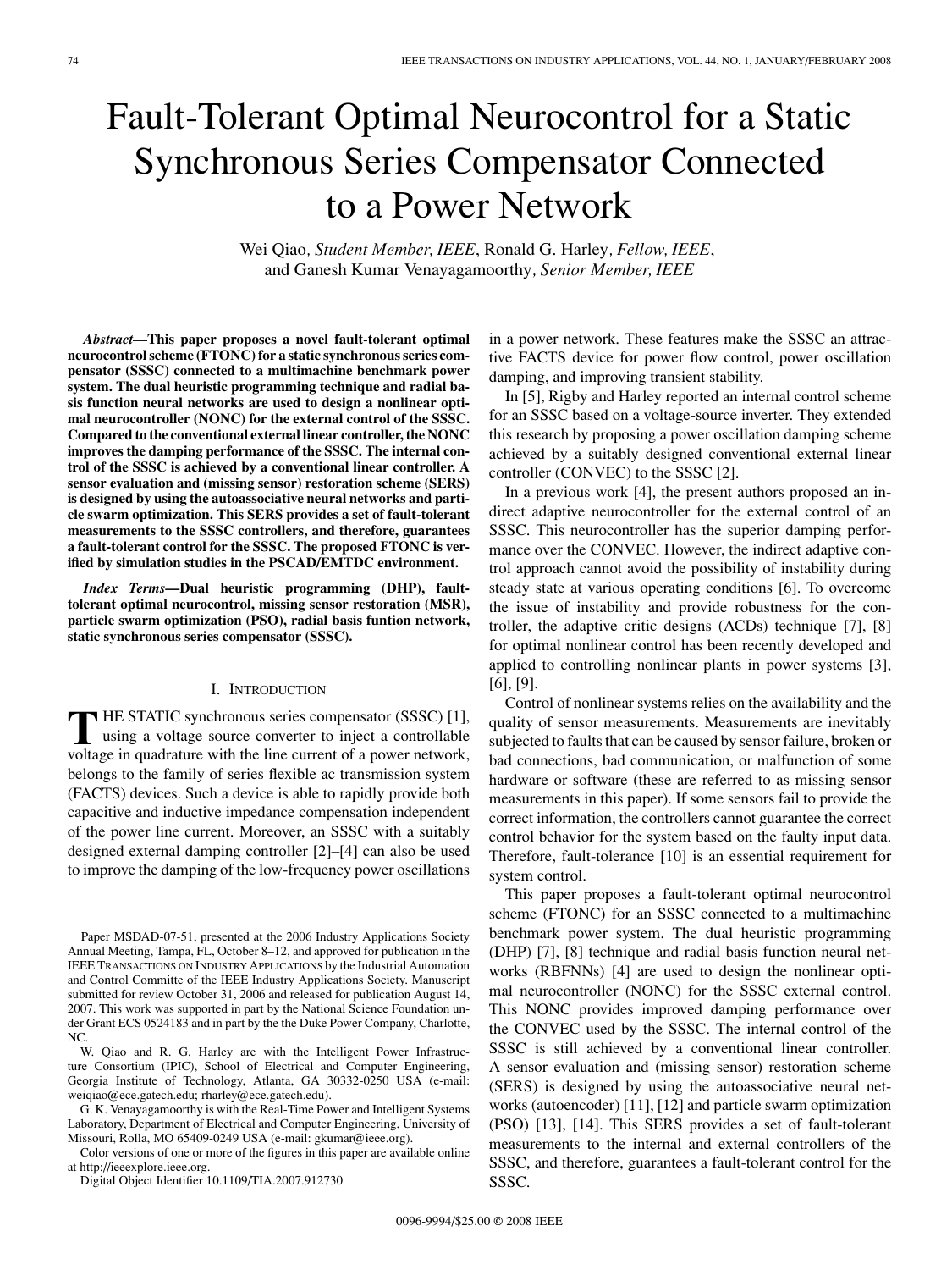# Fault-Tolerant Optimal Neurocontrol for a Static Synchronous Series Compensator Connected to a Power Network

Wei Qiao*, Student Member, IEEE*, Ronald G. Harley*, Fellow, IEEE*, and Ganesh Kumar Venayagamoorthy*, Senior Member, IEEE*

*Abstract***—This paper proposes a novel fault-tolerant optimal neurocontrol scheme (FTONC) for a static synchronous series compensator (SSSC) connected to a multimachine benchmark power system. The dual heuristic programming technique and radial basis function neural networks are used to design a nonlinear optimal neurocontroller (NONC) for the external control of the SSSC. Compared to the conventional external linear controller, the NONC improves the damping performance of the SSSC. The internal control of the SSSC is achieved by a conventional linear controller. A sensor evaluation and (missing sensor) restoration scheme (SERS) is designed by using the autoassociative neural networks and particle swarm optimization. This SERS provides a set of fault-tolerant measurements to the SSSC controllers, and therefore, guarantees a fault-tolerant control for the SSSC. The proposed FTONC is verified by simulation studies in the PSCAD/EMTDC environment.**

*Index Terms***—Dual heuristic programming (DHP), faulttolerant optimal neurocontrol, missing sensor restoration (MSR), particle swarm optimization (PSO), radial basis funtion network, static synchronous series compensator (SSSC).**

# I. INTRODUCTION

**T** HE STATIC synchronous series compensator (SSSC) [1], using a voltage source converter to inject a controllable voltage in quadrature with the line current of a power network, belongs to the family of series flexible ac transmission system (FACTS) devices. Such a device is able to rapidly provide both capacitive and inductive impedance compensation independent of the power line current. Moreover, an SSSC with a suitably designed external damping controller [2]–[4] can also be used to improve the damping of the low-frequency power oscillations

W. Qiao and R. G. Harley are with the Intelligent Power Infrastructure Consortium (IPIC), School of Electrical and Computer Engineering, Georgia Institute of Technology, Atlanta, GA 30332-0250 USA (e-mail: weiqiao@ece.gatech.edu; rharley@ece.gatech.edu).

G. K. Venayagamoorthy is with the Real-Time Power and Intelligent Systems Laboratory, Department of Electrical and Computer Engineering, University of Missouri, Rolla, MO 65409-0249 USA (e-mail: gkumar@ieee.org).

Color versions of one or more of the figures in this paper are available online at http://ieeexplore.ieee.org.

Digital Object Identifier 10.1109/TIA.2007.912730

in a power network. These features make the SSSC an attractive FACTS device for power flow control, power oscillation damping, and improving transient stability.

In [5], Rigby and Harley reported an internal control scheme for an SSSC based on a voltage-source inverter. They extended this research by proposing a power oscillation damping scheme achieved by a suitably designed conventional external linear controller (CONVEC) to the SSSC [2].

In a previous work [4], the present authors proposed an indirect adaptive neurocontroller for the external control of an SSSC. This neurocontroller has the superior damping performance over the CONVEC. However, the indirect adaptive control approach cannot avoid the possibility of instability during steady state at various operating conditions [6]. To overcome the issue of instability and provide robustness for the controller, the adaptive critic designs (ACDs) technique [7], [8] for optimal nonlinear control has been recently developed and applied to controlling nonlinear plants in power systems [3], [6], [9].

Control of nonlinear systems relies on the availability and the quality of sensor measurements. Measurements are inevitably subjected to faults that can be caused by sensor failure, broken or bad connections, bad communication, or malfunction of some hardware or software (these are referred to as missing sensor measurements in this paper). If some sensors fail to provide the correct information, the controllers cannot guarantee the correct control behavior for the system based on the faulty input data. Therefore, fault-tolerance [10] is an essential requirement for system control.

This paper proposes a fault-tolerant optimal neurocontrol scheme (FTONC) for an SSSC connected to a multimachine benchmark power system. The dual heuristic programming (DHP) [7], [8] technique and radial basis function neural networks (RBFNNs) [4] are used to design the nonlinear optimal neurocontroller (NONC) for the SSSC external control. This NONC provides improved damping performance over the CONVEC used by the SSSC. The internal control of the SSSC is still achieved by a conventional linear controller. A sensor evaluation and (missing sensor) restoration scheme (SERS) is designed by using the autoassociative neural networks (autoencoder) [11], [12] and particle swarm optimization (PSO) [13], [14]. This SERS provides a set of fault-tolerant measurements to the internal and external controllers of the SSSC, and therefore, guarantees a fault-tolerant control for the SSSC.

Paper MSDAD-07-51, presented at the 2006 Industry Applications Society Annual Meeting, Tampa, FL, October 8–12, and approved for publication in the IEEE TRANSACTIONS ON INDUSTRY APPLICATIONS by the Industrial Automation and Control Committe of the IEEE Industry Applications Society. Manuscript submitted for review October 31, 2006 and released for publication August 14, 2007. This work was supported in part by the National Science Foundation under Grant ECS 0524183 and in part by the the Duke Power Company, Charlotte, N<sub>C</sub>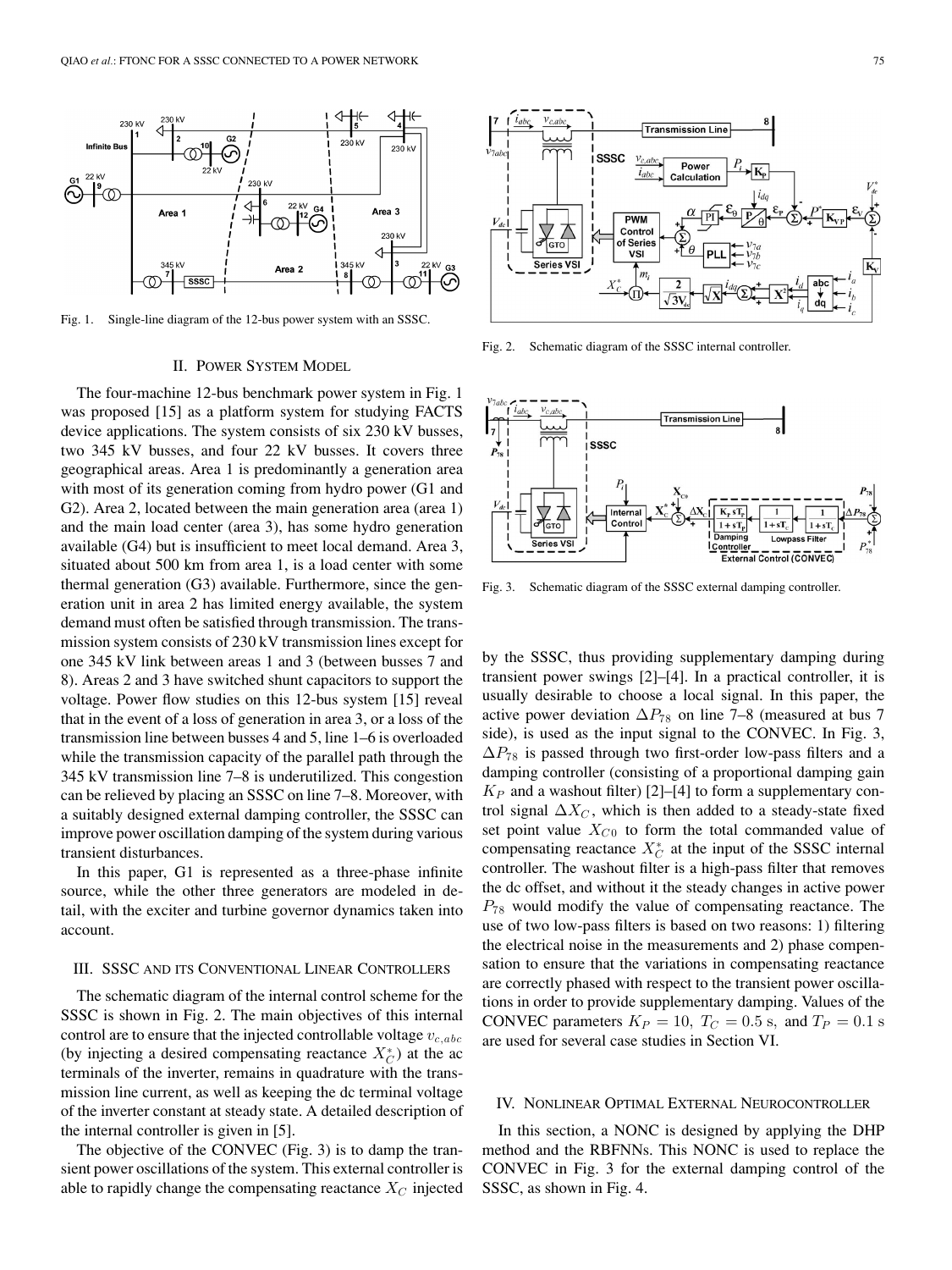

Fig. 1. Single-line diagram of the 12-bus power system with an SSSC.

#### II. POWER SYSTEM MODEL

The four-machine 12-bus benchmark power system in Fig. 1 was proposed [15] as a platform system for studying FACTS device applications. The system consists of six 230 kV busses, two 345 kV busses, and four 22 kV busses. It covers three geographical areas. Area 1 is predominantly a generation area with most of its generation coming from hydro power (G1 and G2). Area 2, located between the main generation area (area 1) and the main load center (area 3), has some hydro generation available (G4) but is insufficient to meet local demand. Area 3, situated about 500 km from area 1, is a load center with some thermal generation (G3) available. Furthermore, since the generation unit in area 2 has limited energy available, the system demand must often be satisfied through transmission. The transmission system consists of 230 kV transmission lines except for one 345 kV link between areas 1 and 3 (between busses 7 and 8). Areas 2 and 3 have switched shunt capacitors to support the voltage. Power flow studies on this 12-bus system [15] reveal that in the event of a loss of generation in area 3, or a loss of the transmission line between busses 4 and 5, line 1–6 is overloaded while the transmission capacity of the parallel path through the 345 kV transmission line 7–8 is underutilized. This congestion can be relieved by placing an SSSC on line 7–8. Moreover, with a suitably designed external damping controller, the SSSC can improve power oscillation damping of the system during various transient disturbances.

In this paper, G1 is represented as a three-phase infinite source, while the other three generators are modeled in detail, with the exciter and turbine governor dynamics taken into account.

#### III. SSSC AND ITS CONVENTIONAL LINEAR CONTROLLERS

The schematic diagram of the internal control scheme for the SSSC is shown in Fig. 2. The main objectives of this internal control are to ensure that the injected controllable voltage  $v_{c,abc}$ (by injecting a desired compensating reactance  $X_C^*$ ) at the ac terminals of the inverter, remains in quadrature with the transmission line current, as well as keeping the dc terminal voltage of the inverter constant at steady state. A detailed description of the internal controller is given in [5].

The objective of the CONVEC (Fig. 3) is to damp the transient power oscillations of the system. This external controller is able to rapidly change the compensating reactance  $X_C$  injected



Fig. 2. Schematic diagram of the SSSC internal controller.



Fig. 3. Schematic diagram of the SSSC external damping controller.

by the SSSC, thus providing supplementary damping during transient power swings [2]–[4]. In a practical controller, it is usually desirable to choose a local signal. In this paper, the active power deviation  $\Delta P_{78}$  on line 7–8 (measured at bus 7 side), is used as the input signal to the CONVEC. In Fig. 3,  $\Delta P_{78}$  is passed through two first-order low-pass filters and a damping controller (consisting of a proportional damping gain  $K_P$  and a washout filter) [2]–[4] to form a supplementary control signal  $\Delta X_C$ , which is then added to a steady-state fixed set point value  $X_{C0}$  to form the total commanded value of compensating reactance  $X_C^*$  at the input of the SSSC internal controller. The washout filter is a high-pass filter that removes the dc offset, and without it the steady changes in active power  $P_{78}$  would modify the value of compensating reactance. The use of two low-pass filters is based on two reasons: 1) filtering the electrical noise in the measurements and 2) phase compensation to ensure that the variations in compensating reactance are correctly phased with respect to the transient power oscillations in order to provide supplementary damping. Values of the CONVEC parameters  $K_P = 10$ ,  $T_C = 0.5$  s, and  $T_P = 0.1$  s are used for several case studies in Section VI.

#### IV. NONLINEAR OPTIMAL EXTERNAL NEUROCONTROLLER

In this section, a NONC is designed by applying the DHP method and the RBFNNs. This NONC is used to replace the CONVEC in Fig. 3 for the external damping control of the SSSC, as shown in Fig. 4.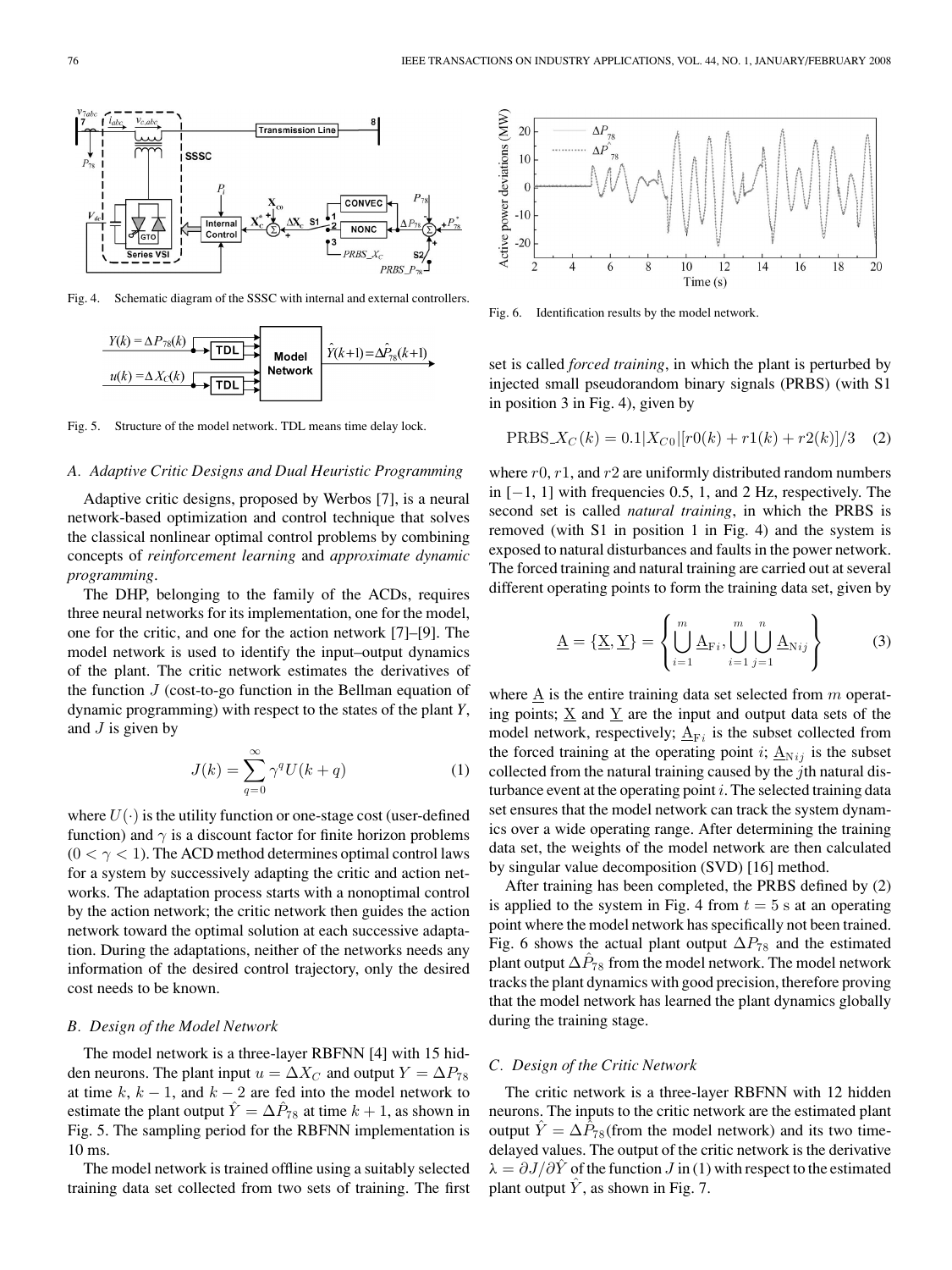

Fig. 4. Schematic diagram of the SSSC with internal and external controllers.



Fig. 5. Structure of the model network. TDL means time delay lock.

#### *A. Adaptive Critic Designs and Dual Heuristic Programming*

Adaptive critic designs, proposed by Werbos [7], is a neural network-based optimization and control technique that solves the classical nonlinear optimal control problems by combining concepts of *reinforcement learning* and *approximate dynamic programming*.

The DHP, belonging to the family of the ACDs, requires three neural networks for its implementation, one for the model, one for the critic, and one for the action network [7]–[9]. The model network is used to identify the input–output dynamics of the plant. The critic network estimates the derivatives of the function  $J$  (cost-to-go function in the Bellman equation of dynamic programming) with respect to the states of the plant *Y*, and  $J$  is given by

$$
J(k) = \sum_{q=0}^{\infty} \gamma^q U(k+q)
$$
 (1)

where  $U(\cdot)$  is the utility function or one-stage cost (user-defined function) and  $\gamma$  is a discount factor for finite horizon problems  $(0 < \gamma < 1)$ . The ACD method determines optimal control laws for a system by successively adapting the critic and action networks. The adaptation process starts with a nonoptimal control by the action network; the critic network then guides the action network toward the optimal solution at each successive adaptation. During the adaptations, neither of the networks needs any information of the desired control trajectory, only the desired cost needs to be known.

#### *B. Design of the Model Network*

The model network is a three-layer RBFNN [4] with 15 hidden neurons. The plant input  $u = \Delta X_C$  and output  $Y = \Delta P_{78}$ at time  $k, k - 1$ , and  $k - 2$  are fed into the model network to estimate the plant output  $\hat{Y} = \Delta \hat{P}_{78}$  at time  $k + 1$ , as shown in Fig. 5. The sampling period for the RBFNN implementation is 10 ms.

The model network is trained offline using a suitably selected training data set collected from two sets of training. The first



Fig. 6. Identification results by the model network.

set is called *forced training*, in which the plant is perturbed by injected small pseudorandom binary signals (PRBS) (with S1 in position 3 in Fig. 4), given by

$$
PRBS_x(C(k) = 0.1|X_{C0}|[r0(k) + r1(k) + r2(k)]/3
$$
 (2)

where  $r0$ ,  $r1$ , and  $r2$  are uniformly distributed random numbers in  $[-1, 1]$  with frequencies 0.5, 1, and 2 Hz, respectively. The second set is called *natural training*, in which the PRBS is removed (with S1 in position 1 in Fig. 4) and the system is exposed to natural disturbances and faults in the power network. The forced training and natural training are carried out at several different operating points to form the training data set, given by

$$
\underline{\mathbf{A}} = \{\underline{\mathbf{X}}, \underline{\mathbf{Y}}\} = \left\{ \bigcup_{i=1}^{m} \underline{\mathbf{A}}_{\mathrm{F}i}, \bigcup_{i=1}^{m} \bigcup_{j=1}^{n} \underline{\mathbf{A}}_{\mathrm{N}ij} \right\} \tag{3}
$$

where  $\underline{A}$  is the entire training data set selected from  $m$  operating points;  $\underline{X}$  and  $\underline{Y}$  are the input and output data sets of the model network, respectively;  $\underline{A}_{Fi}$  is the subset collected from the forced training at the operating point i;  $\underline{A}_{Nij}$  is the subset collected from the natural training caused by the  $j$ th natural disturbance event at the operating point  $i$ . The selected training data set ensures that the model network can track the system dynamics over a wide operating range. After determining the training data set, the weights of the model network are then calculated by singular value decomposition (SVD) [16] method.

After training has been completed, the PRBS defined by (2) is applied to the system in Fig. 4 from  $t = 5$  s at an operating point where the model network has specifically not been trained. Fig. 6 shows the actual plant output  $\Delta P_{78}$  and the estimated plant output  $\Delta P_{78}$  from the model network. The model network tracks the plant dynamics with good precision, therefore proving that the model network has learned the plant dynamics globally during the training stage.

# *C. Design of the Critic Network*

The critic network is a three-layer RBFNN with 12 hidden neurons. The inputs to the critic network are the estimated plant output  $\hat{Y} = \Delta \hat{P}_{78}$  (from the model network) and its two timedelayed values. The output of the critic network is the derivative  $\lambda = \partial J/\partial \hat{Y}$  of the function  $J$  in (1) with respect to the estimated plant output  $\hat{Y}$ , as shown in Fig. 7.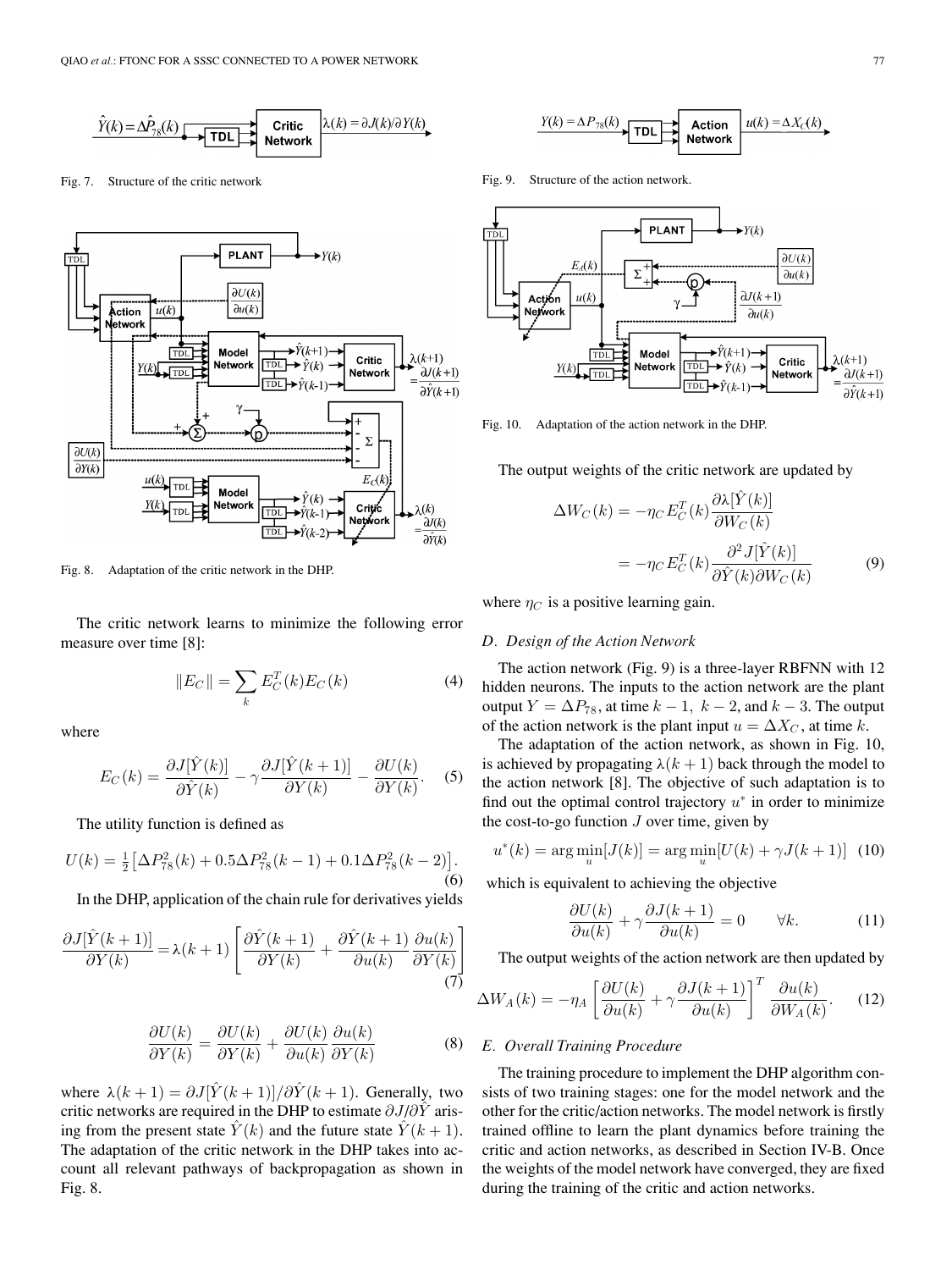

Fig. 7. Structure of the critic network



Fig. 8. Adaptation of the critic network in the DHP.

The critic network learns to minimize the following error measure over time [8]:

$$
||E_C|| = \sum_k E_C^T(k) E_C(k)
$$
 (4)

where

$$
E_C(k) = \frac{\partial J[\hat{Y}(k)]}{\partial \hat{Y}(k)} - \gamma \frac{\partial J[\hat{Y}(k+1)]}{\partial Y(k)} - \frac{\partial U(k)}{\partial Y(k)}.
$$
 (5)

The utility function is defined as

$$
U(k) = \frac{1}{2} \left[ \Delta P_{78}^2(k) + 0.5 \Delta P_{78}^2(k-1) + 0.1 \Delta P_{78}^2(k-2) \right].
$$
\n(6)

In the DHP, application of the chain rule for derivatives yields

$$
\frac{\partial J[\hat{Y}(k+1)]}{\partial Y(k)} = \lambda(k+1) \left[ \frac{\partial \hat{Y}(k+1)}{\partial Y(k)} + \frac{\partial \hat{Y}(k+1)}{\partial u(k)} \frac{\partial u(k)}{\partial Y(k)} \right] \tag{7}
$$

$$
\frac{\partial U(k)}{\partial Y(k)} = \frac{\partial U(k)}{\partial Y(k)} + \frac{\partial U(k)}{\partial u(k)} \frac{\partial u(k)}{\partial Y(k)} \tag{8}
$$

where  $\lambda(k+1) = \partial J[\hat{Y}(k+1)]/\partial \hat{Y}(k+1)$ . Generally, two critic networks are required in the DHP to estimate  $\partial J/\partial \hat{Y}$  arising from the present state  $\hat{Y}(k)$  and the future state  $\hat{Y}(k+1)$ . The adaptation of the critic network in the DHP takes into account all relevant pathways of backpropagation as shown in Fig. 8.

$$
\xrightarrow{Y(k) = \Delta P_{78}(k)} \text{TDL} \xrightarrow{\text{Action}} \xrightarrow{u(k) = \Delta X_c(k)}
$$

Fig. 9. Structure of the action network.



Fig. 10. Adaptation of the action network in the DHP.

The output weights of the critic network are updated by

$$
\Delta W_C(k) = -\eta_C E_C^T(k) \frac{\partial \lambda [\hat{Y}(k)]}{\partial W_C(k)}
$$

$$
= -\eta_C E_C^T(k) \frac{\partial^2 J[\hat{Y}(k)]}{\partial \hat{Y}(k) \partial W_C(k)}
$$
(9)

where  $\eta_C$  is a positive learning gain.

#### *D. Design of the Action Network*

The action network (Fig. 9) is a three-layer RBFNN with 12 hidden neurons. The inputs to the action network are the plant output  $Y = \Delta P_{78}$ , at time  $k - 1$ ,  $k - 2$ , and  $k - 3$ . The output of the action network is the plant input  $u = \Delta X_C$ , at time k.

The adaptation of the action network, as shown in Fig. 10, is achieved by propagating  $\lambda(k+1)$  back through the model to the action network [8]. The objective of such adaptation is to find out the optimal control trajectory  $u^*$  in order to minimize the cost-to-go function  $J$  over time, given by

$$
u^*(k) = \arg\min_u[J(k)] = \arg\min_u[U(k) + \gamma J(k+1)] \tag{10}
$$

which is equivalent to achieving the objective

$$
\frac{\partial U(k)}{\partial u(k)} + \gamma \frac{\partial J(k+1)}{\partial u(k)} = 0 \qquad \forall k.
$$
 (11)

The output weights of the action network are then updated by

$$
\Delta W_A(k) = -\eta_A \left[ \frac{\partial U(k)}{\partial u(k)} + \gamma \frac{\partial J(k+1)}{\partial u(k)} \right]^T \frac{\partial u(k)}{\partial W_A(k)}.
$$
 (12)

#### *E. Overall Training Procedure*

The training procedure to implement the DHP algorithm consists of two training stages: one for the model network and the other for the critic/action networks. The model network is firstly trained offline to learn the plant dynamics before training the critic and action networks, as described in Section IV-B. Once the weights of the model network have converged, they are fixed during the training of the critic and action networks.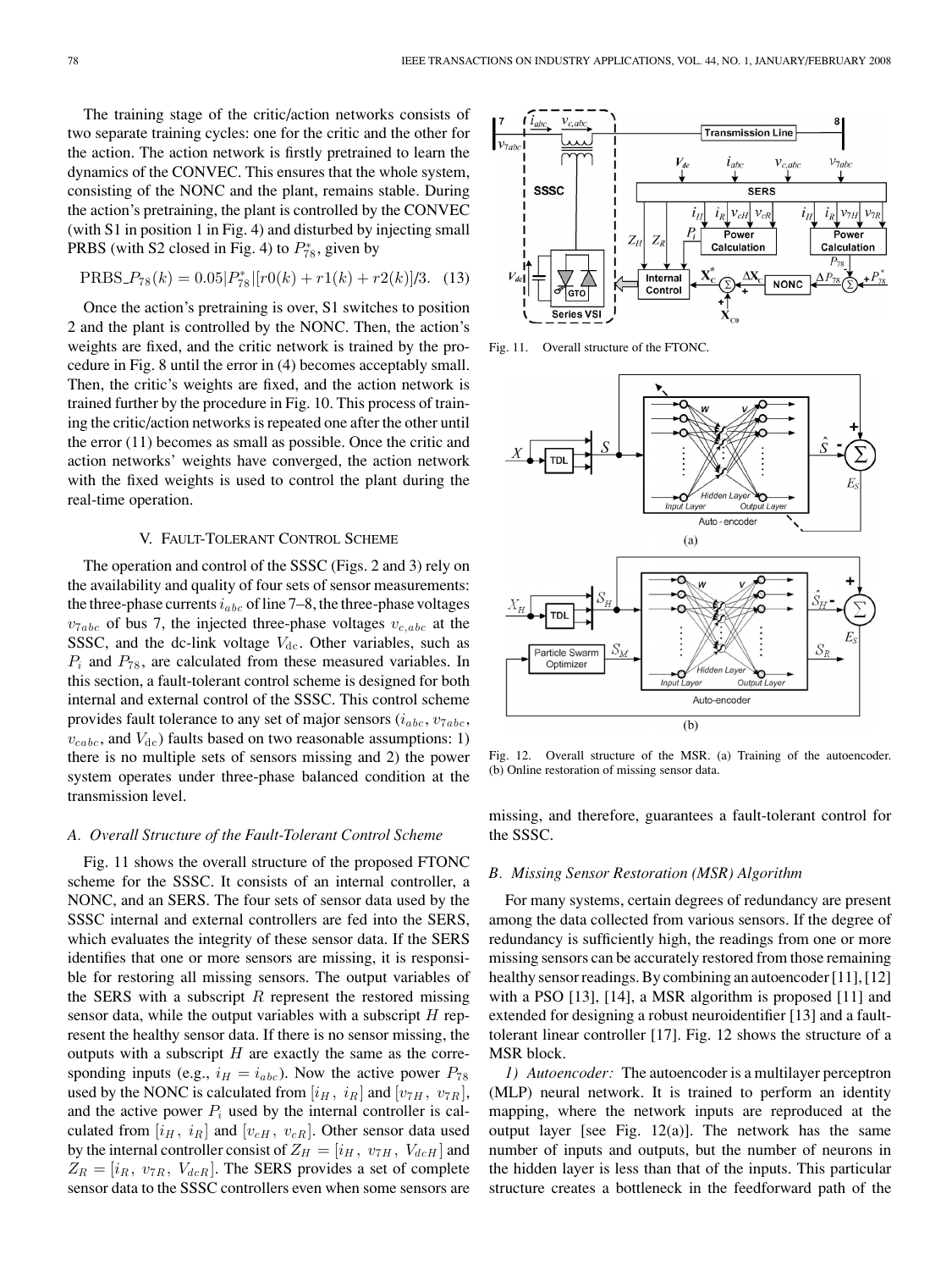The training stage of the critic/action networks consists of two separate training cycles: one for the critic and the other for the action. The action network is firstly pretrained to learn the dynamics of the CONVEC. This ensures that the whole system, consisting of the NONC and the plant, remains stable. During the action's pretraining, the plant is controlled by the CONVEC (with S1 in position 1 in Fig. 4) and disturbed by injecting small PRBS (with S2 closed in Fig. 4) to  $P_{78}^*$ , given by

$$
PRBS_{-}P_{78}(k) = 0.05|P_{78}^*|[r0(k) + r1(k) + r2(k)]/3.
$$
 (13)

Once the action's pretraining is over, S1 switches to position 2 and the plant is controlled by the NONC. Then, the action's weights are fixed, and the critic network is trained by the procedure in Fig. 8 until the error in (4) becomes acceptably small. Then, the critic's weights are fixed, and the action network is trained further by the procedure in Fig. 10. This process of training the critic/action networks is repeated one after the other until the error (11) becomes as small as possible. Once the critic and action networks' weights have converged, the action network with the fixed weights is used to control the plant during the real-time operation.

# V. FAULT-TOLERANT CONTROL SCHEME

The operation and control of the SSSC (Figs. 2 and 3) rely on the availability and quality of four sets of sensor measurements: the three-phase currents  $i_{abc}$  of line 7–8, the three-phase voltages  $v_{7abc}$  of bus 7, the injected three-phase voltages  $v_{c,abc}$  at the SSSC, and the dc-link voltage  $V_{\text{dc}}$ . Other variables, such as  $P_i$  and  $P_{78}$ , are calculated from these measured variables. In this section, a fault-tolerant control scheme is designed for both internal and external control of the SSSC. This control scheme provides fault tolerance to any set of major sensors  $(i_{abc}, v_{7abc},$  $v_{cabc}$ , and  $V_{dc}$ ) faults based on two reasonable assumptions: 1) there is no multiple sets of sensors missing and 2) the power system operates under three-phase balanced condition at the transmission level.

# *A. Overall Structure of the Fault-Tolerant Control Scheme*

Fig. 11 shows the overall structure of the proposed FTONC scheme for the SSSC. It consists of an internal controller, a NONC, and an SERS. The four sets of sensor data used by the SSSC internal and external controllers are fed into the SERS, which evaluates the integrity of these sensor data. If the SERS identifies that one or more sensors are missing, it is responsible for restoring all missing sensors. The output variables of the SERS with a subscript  $R$  represent the restored missing sensor data, while the output variables with a subscript  $H$  represent the healthy sensor data. If there is no sensor missing, the outputs with a subscript  $H$  are exactly the same as the corresponding inputs (e.g.,  $i_H = i_{abc}$ ). Now the active power  $P_{78}$ used by the NONC is calculated from  $[i_H, i_R]$  and  $[v_{7H}, v_{7R}]$ , and the active power  $P_i$  used by the internal controller is calculated from  $[i_H, i_R]$  and  $[v_{cH}, v_{cR}]$ . Other sensor data used by the internal controller consist of  $Z_H = [i_H, v_{7H}, V_{dcH}]$  and  $Z_R = [i_R, v_{7R}, V_{dcR}]$ . The SERS provides a set of complete sensor data to the SSSC controllers even when some sensors are



Fig. 11. Overall structure of the FTONC.



Fig. 12. Overall structure of the MSR. (a) Training of the autoencoder. (b) Online restoration of missing sensor data.

missing, and therefore, guarantees a fault-tolerant control for the SSSC.

### *B. Missing Sensor Restoration (MSR) Algorithm*

For many systems, certain degrees of redundancy are present among the data collected from various sensors. If the degree of redundancy is sufficiently high, the readings from one or more missing sensors can be accurately restored from those remaining healthy sensor readings. By combining an autoencoder [11], [12] with a PSO [13], [14], a MSR algorithm is proposed [11] and extended for designing a robust neuroidentifier [13] and a faulttolerant linear controller [17]. Fig. 12 shows the structure of a MSR block.

*1) Autoencoder:* The autoencoder is a multilayer perceptron (MLP) neural network. It is trained to perform an identity mapping, where the network inputs are reproduced at the output layer [see Fig. 12(a)]. The network has the same number of inputs and outputs, but the number of neurons in the hidden layer is less than that of the inputs. This particular structure creates a bottleneck in the feedforward path of the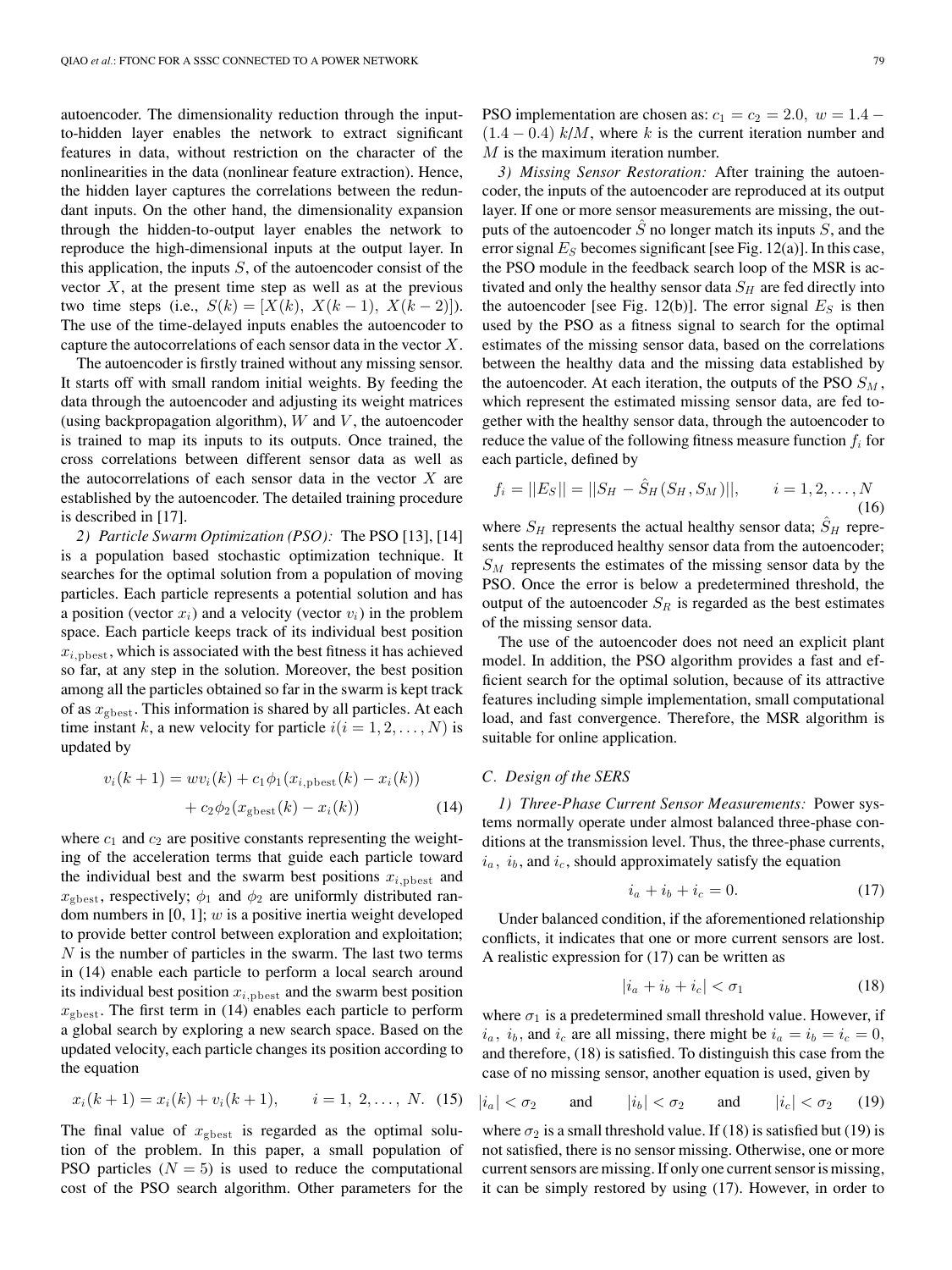autoencoder. The dimensionality reduction through the inputto-hidden layer enables the network to extract significant features in data, without restriction on the character of the nonlinearities in the data (nonlinear feature extraction). Hence, the hidden layer captures the correlations between the redundant inputs. On the other hand, the dimensionality expansion through the hidden-to-output layer enables the network to reproduce the high-dimensional inputs at the output layer. In this application, the inputs  $S$ , of the autoencoder consist of the vector  $X$ , at the present time step as well as at the previous two time steps (i.e.,  $S(k) = [X(k), X(k-1), X(k-2)]$ ). The use of the time-delayed inputs enables the autoencoder to capture the autocorrelations of each sensor data in the vector X.

The autoencoder is firstly trained without any missing sensor. It starts off with small random initial weights. By feeding the data through the autoencoder and adjusting its weight matrices (using backpropagation algorithm),  $W$  and  $V$ , the autoencoder is trained to map its inputs to its outputs. Once trained, the cross correlations between different sensor data as well as the autocorrelations of each sensor data in the vector  $X$  are established by the autoencoder. The detailed training procedure is described in [17].

*2) Particle Swarm Optimization (PSO):* The PSO [13], [14] is a population based stochastic optimization technique. It searches for the optimal solution from a population of moving particles. Each particle represents a potential solution and has a position (vector  $x_i$ ) and a velocity (vector  $v_i$ ) in the problem space. Each particle keeps track of its individual best position  $x_{i, \text{pbest}}$ , which is associated with the best fitness it has achieved so far, at any step in the solution. Moreover, the best position among all the particles obtained so far in the swarm is kept track of as  $x_{\text{gbest}}$ . This information is shared by all particles. At each time instant k, a new velocity for particle  $i(i = 1, 2, \ldots, N)$  is updated by

$$
v_i(k+1) = w v_i(k) + c_1 \phi_1(x_{i,\text{pbest}}(k) - x_i(k))
$$

$$
+ c_2 \phi_2(x_{\text{gbest}}(k) - x_i(k))
$$
(14)

where  $c_1$  and  $c_2$  are positive constants representing the weighting of the acceleration terms that guide each particle toward the individual best and the swarm best positions  $x_{i, \text{pbest}}$  and  $x_{\text{ghost}}$ , respectively;  $\phi_1$  and  $\phi_2$  are uniformly distributed random numbers in  $[0, 1]$ ;  $w$  is a positive inertia weight developed to provide better control between exploration and exploitation;  $N$  is the number of particles in the swarm. The last two terms in (14) enable each particle to perform a local search around its individual best position  $x_{i, \text{pbest}}$  and the swarm best position  $x_{\text{gbest}}$ . The first term in (14) enables each particle to perform a global search by exploring a new search space. Based on the updated velocity, each particle changes its position according to the equation

$$
x_i(k+1) = x_i(k) + v_i(k+1), \qquad i = 1, 2, ..., N. \quad (15)
$$

The final value of  $x_{\text{gbest}}$  is regarded as the optimal solution of the problem. In this paper, a small population of PSO particles  $(N = 5)$  is used to reduce the computational cost of the PSO search algorithm. Other parameters for the PSO implementation are chosen as:  $c_1 = c_2 = 2.0$ ,  $w = 1.4$  –  $(1.4 - 0.4)$  k/M, where k is the current iteration number and M is the maximum iteration number.

*3) Missing Sensor Restoration:* After training the autoencoder, the inputs of the autoencoder are reproduced at its output layer. If one or more sensor measurements are missing, the outputs of the autoencoder  $\hat{S}$  no longer match its inputs  $S$ , and the error signal  $E<sub>S</sub>$  becomes significant [see Fig. 12(a)]. In this case, the PSO module in the feedback search loop of the MSR is activated and only the healthy sensor data  $S_H$  are fed directly into the autoencoder [see Fig. 12(b)]. The error signal  $E<sub>S</sub>$  is then used by the PSO as a fitness signal to search for the optimal estimates of the missing sensor data, based on the correlations between the healthy data and the missing data established by the autoencoder. At each iteration, the outputs of the PSO  $S_M$ , which represent the estimated missing sensor data, are fed together with the healthy sensor data, through the autoencoder to reduce the value of the following fitness measure function  $f_i$  for each particle, defined by

$$
f_i = ||E_S|| = ||S_H - \hat{S}_H(S_H, S_M)||, \qquad i = 1, 2, ..., N
$$
\n(16)

where  $S_H$  represents the actual healthy sensor data;  $\hat{S}_H$  represents the reproduced healthy sensor data from the autoencoder;  $S_M$  represents the estimates of the missing sensor data by the PSO. Once the error is below a predetermined threshold, the output of the autoencoder  $S_R$  is regarded as the best estimates of the missing sensor data.

The use of the autoencoder does not need an explicit plant model. In addition, the PSO algorithm provides a fast and efficient search for the optimal solution, because of its attractive features including simple implementation, small computational load, and fast convergence. Therefore, the MSR algorithm is suitable for online application.

# *C. Design of the SERS*

*1) Three-Phase Current Sensor Measurements:* Power systems normally operate under almost balanced three-phase conditions at the transmission level. Thus, the three-phase currents,  $i_a$ ,  $i_b$ , and  $i_c$ , should approximately satisfy the equation

$$
i_a + i_b + i_c = 0.
$$
 (17)

Under balanced condition, if the aforementioned relationship conflicts, it indicates that one or more current sensors are lost. A realistic expression for (17) can be written as

$$
|i_a + i_b + i_c| < \sigma_1 \tag{18}
$$

where  $\sigma_1$  is a predetermined small threshold value. However, if  $i_a$ ,  $i_b$ , and  $i_c$  are all missing, there might be  $i_a = i_b = i_c = 0$ , and therefore, (18) is satisfied. To distinguish this case from the case of no missing sensor, another equation is used, given by

$$
|i_a| < \sigma_2 \qquad \text{and} \qquad |i_b| < \sigma_2 \qquad \text{and} \qquad |i_c| < \sigma_2 \qquad (19)
$$

where  $\sigma_2$  is a small threshold value. If (18) is satisfied but (19) is not satisfied, there is no sensor missing. Otherwise, one or more current sensors are missing. If only one current sensor is missing, it can be simply restored by using (17). However, in order to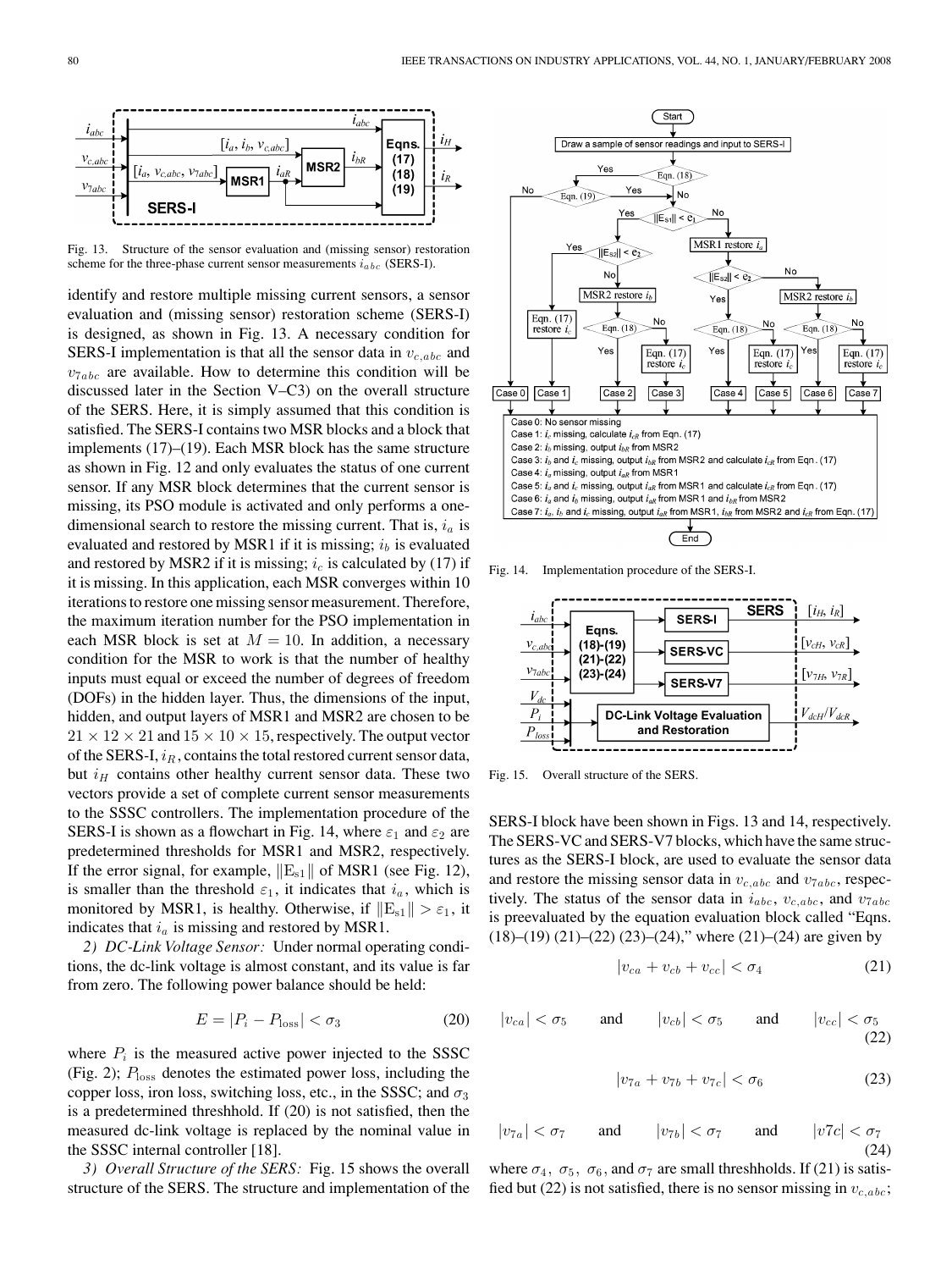

Fig. 13. Structure of the sensor evaluation and (missing sensor) restoration scheme for the three-phase current sensor measurements  $i_{abc}$  (SERS-I).

identify and restore multiple missing current sensors, a sensor evaluation and (missing sensor) restoration scheme (SERS-I) is designed, as shown in Fig. 13. A necessary condition for SERS-I implementation is that all the sensor data in  $v_{c,abc}$  and  $v_{7abc}$  are available. How to determine this condition will be discussed later in the Section V–C3) on the overall structure of the SERS. Here, it is simply assumed that this condition is satisfied. The SERS-I contains two MSR blocks and a block that implements (17)–(19). Each MSR block has the same structure as shown in Fig. 12 and only evaluates the status of one current sensor. If any MSR block determines that the current sensor is missing, its PSO module is activated and only performs a onedimensional search to restore the missing current. That is,  $i_a$  is evaluated and restored by MSR1 if it is missing;  $i<sub>b</sub>$  is evaluated and restored by MSR2 if it is missing;  $i_c$  is calculated by (17) if it is missing. In this application, each MSR converges within 10 iterations to restore one missing sensor measurement. Therefore, the maximum iteration number for the PSO implementation in each MSR block is set at  $M = 10$ . In addition, a necessary condition for the MSR to work is that the number of healthy inputs must equal or exceed the number of degrees of freedom (DOFs) in the hidden layer. Thus, the dimensions of the input, hidden, and output layers of MSR1 and MSR2 are chosen to be  $21 \times 12 \times 21$  and  $15 \times 10 \times 15$ , respectively. The output vector of the SERS-I,  $i_R$ , contains the total restored current sensor data, but  $i_H$  contains other healthy current sensor data. These two vectors provide a set of complete current sensor measurements to the SSSC controllers. The implementation procedure of the SERS-I is shown as a flowchart in Fig. 14, where  $\varepsilon_1$  and  $\varepsilon_2$  are predetermined thresholds for MSR1 and MSR2, respectively. If the error signal, for example,  $||E_{s1}||$  of MSR1 (see Fig. 12), is smaller than the threshold  $\varepsilon_1$ , it indicates that  $i_a$ , which is monitored by MSR1, is healthy. Otherwise, if  $||E_{s1}|| > \varepsilon_1$ , it indicates that  $i_a$  is missing and restored by MSR1.

*2) DC-Link Voltage Sensor:* Under normal operating conditions, the dc-link voltage is almost constant, and its value is far from zero. The following power balance should be held:

$$
E = |P_i - P_{\text{loss}}| < \sigma_3 \tag{20}
$$

where  $P_i$  is the measured active power injected to the SSSC (Fig. 2);  $P_{\text{loss}}$  denotes the estimated power loss, including the copper loss, iron loss, switching loss, etc., in the SSSC; and  $\sigma_3$ is a predetermined threshhold. If (20) is not satisfied, then the measured dc-link voltage is replaced by the nominal value in the SSSC internal controller [18].

*3) Overall Structure of the SERS:* Fig. 15 shows the overall structure of the SERS. The structure and implementation of the



Fig. 14. Implementation procedure of the SERS-I.



Fig. 15. Overall structure of the SERS.

SERS-I block have been shown in Figs. 13 and 14, respectively. The SERS-VC and SERS-V7 blocks, which have the same structures as the SERS-I block, are used to evaluate the sensor data and restore the missing sensor data in  $v_{c,abc}$  and  $v_{7abc}$ , respectively. The status of the sensor data in  $i_{abc}$ ,  $v_{c,abc}$ , and  $v_{7abc}$ is preevaluated by the equation evaluation block called "Eqns.  $(18)$ – $(19)$   $(21)$ – $(22)$   $(23)$ – $(24)$ ," where  $(21)$ – $(24)$  are given by

$$
|v_{ca} + v_{cb} + v_{cc}| < \sigma_4 \tag{21}
$$

$$
|v_{ca}| < \sigma_5 \qquad \text{and} \qquad |v_{cb}| < \sigma_5 \qquad \text{and} \qquad |v_{cc}| < \sigma_5 \tag{22}
$$

$$
|v_{7a} + v_{7b} + v_{7c}| < \sigma_6 \tag{23}
$$

$$
|v_{7a}| < \sigma_7 \quad \text{and} \quad |v_{7b}| < \sigma_7 \quad \text{and} \quad |v7c| < \sigma_7 \tag{24}
$$

where  $\sigma_4$ ,  $\sigma_5$ ,  $\sigma_6$ , and  $\sigma_7$  are small threshholds. If (21) is satisfied but (22) is not satisfied, there is no sensor missing in  $v_{c,abc}$ ;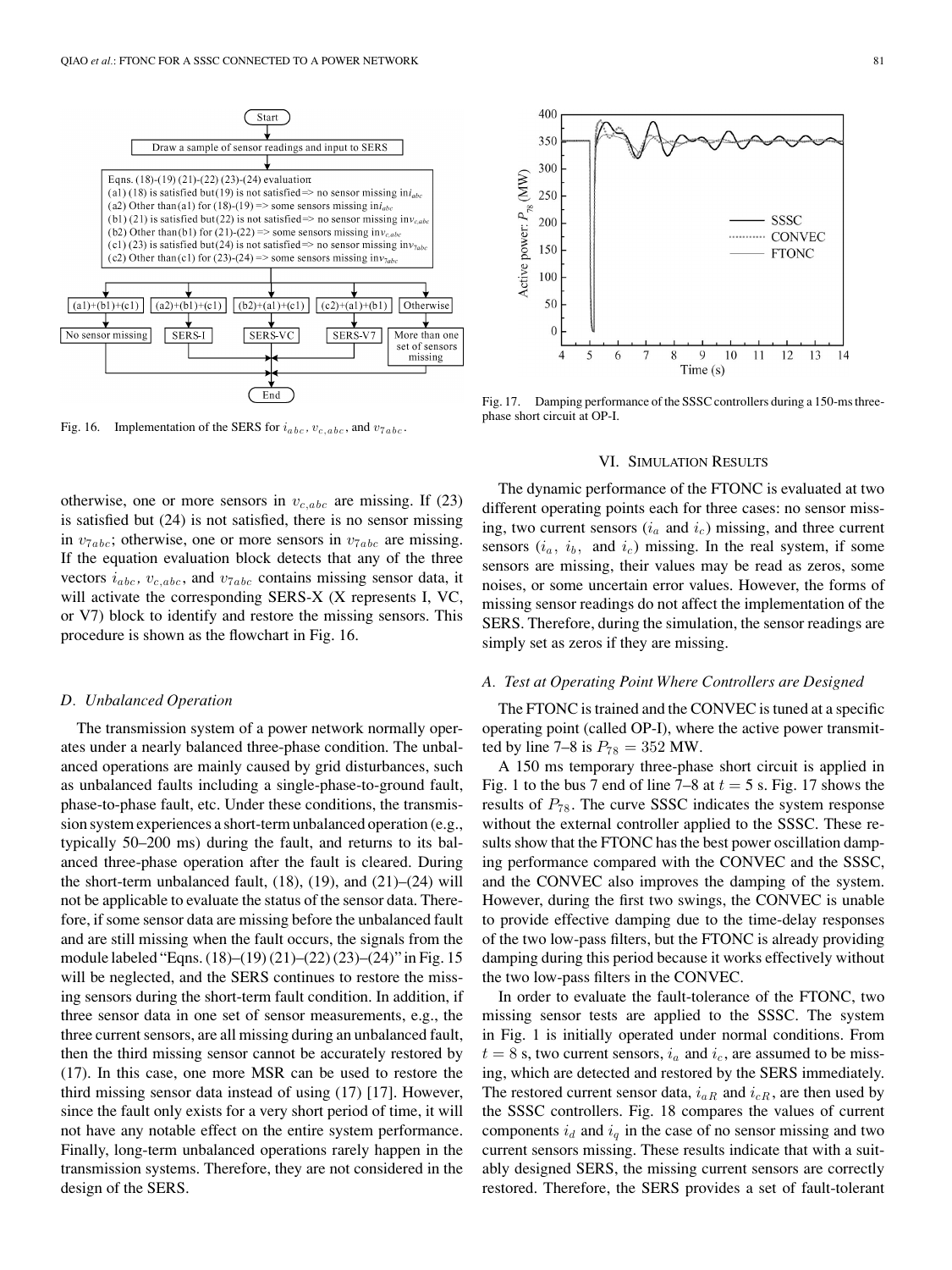

Fig. 16. Implementation of the SERS for  $i_{abc}$ ,  $v_{c,abc}$ , and  $v_{7abc}$ .

otherwise, one or more sensors in  $v_{c,abc}$  are missing. If (23) is satisfied but (24) is not satisfied, there is no sensor missing in  $v_{7abc}$ ; otherwise, one or more sensors in  $v_{7abc}$  are missing. If the equation evaluation block detects that any of the three vectors  $i_{abc}$ ,  $v_{c,abc}$ , and  $v_{7abc}$  contains missing sensor data, it will activate the corresponding SERS-X (X represents I, VC, or V7) block to identify and restore the missing sensors. This procedure is shown as the flowchart in Fig. 16.

#### *D. Unbalanced Operation*

The transmission system of a power network normally operates under a nearly balanced three-phase condition. The unbalanced operations are mainly caused by grid disturbances, such as unbalanced faults including a single-phase-to-ground fault, phase-to-phase fault, etc. Under these conditions, the transmission system experiences a short-term unbalanced operation (e.g., typically 50–200 ms) during the fault, and returns to its balanced three-phase operation after the fault is cleared. During the short-term unbalanced fault,  $(18)$ ,  $(19)$ , and  $(21)$ – $(24)$  will not be applicable to evaluate the status of the sensor data. Therefore, if some sensor data are missing before the unbalanced fault and are still missing when the fault occurs, the signals from the module labeled "Eqns. (18)–(19) (21)–(22) (23)–(24)" in Fig. 15 will be neglected, and the SERS continues to restore the missing sensors during the short-term fault condition. In addition, if three sensor data in one set of sensor measurements, e.g., the three current sensors, are all missing during an unbalanced fault, then the third missing sensor cannot be accurately restored by (17). In this case, one more MSR can be used to restore the third missing sensor data instead of using (17) [17]. However, since the fault only exists for a very short period of time, it will not have any notable effect on the entire system performance. Finally, long-term unbalanced operations rarely happen in the transmission systems. Therefore, they are not considered in the design of the SERS.



Fig. 17. Damping performance of the SSSC controllers during a 150-ms threephase short circuit at OP-I.

### VI. SIMULATION RESULTS

The dynamic performance of the FTONC is evaluated at two different operating points each for three cases: no sensor missing, two current sensors  $(i_a \text{ and } i_c)$  missing, and three current sensors  $(i_a, i_b, \text{ and } i_c)$  missing. In the real system, if some sensors are missing, their values may be read as zeros, some noises, or some uncertain error values. However, the forms of missing sensor readings do not affect the implementation of the SERS. Therefore, during the simulation, the sensor readings are simply set as zeros if they are missing.

### *A. Test at Operating Point Where Controllers are Designed*

The FTONC is trained and the CONVEC is tuned at a specific operating point (called OP-I), where the active power transmitted by line 7–8 is  $P_{78} = 352$  MW.

A 150 ms temporary three-phase short circuit is applied in Fig. 1 to the bus 7 end of line  $7-8$  at  $t = 5$  s. Fig. 17 shows the results of  $P_{78}$ . The curve SSSC indicates the system response without the external controller applied to the SSSC. These results show that the FTONC has the best power oscillation damping performance compared with the CONVEC and the SSSC, and the CONVEC also improves the damping of the system. However, during the first two swings, the CONVEC is unable to provide effective damping due to the time-delay responses of the two low-pass filters, but the FTONC is already providing damping during this period because it works effectively without the two low-pass filters in the CONVEC.

In order to evaluate the fault-tolerance of the FTONC, two missing sensor tests are applied to the SSSC. The system in Fig. 1 is initially operated under normal conditions. From  $t = 8$  s, two current sensors,  $i_a$  and  $i_c$ , are assumed to be missing, which are detected and restored by the SERS immediately. The restored current sensor data,  $i_{aR}$  and  $i_{cR}$ , are then used by the SSSC controllers. Fig. 18 compares the values of current components  $i_d$  and  $i_q$  in the case of no sensor missing and two current sensors missing. These results indicate that with a suitably designed SERS, the missing current sensors are correctly restored. Therefore, the SERS provides a set of fault-tolerant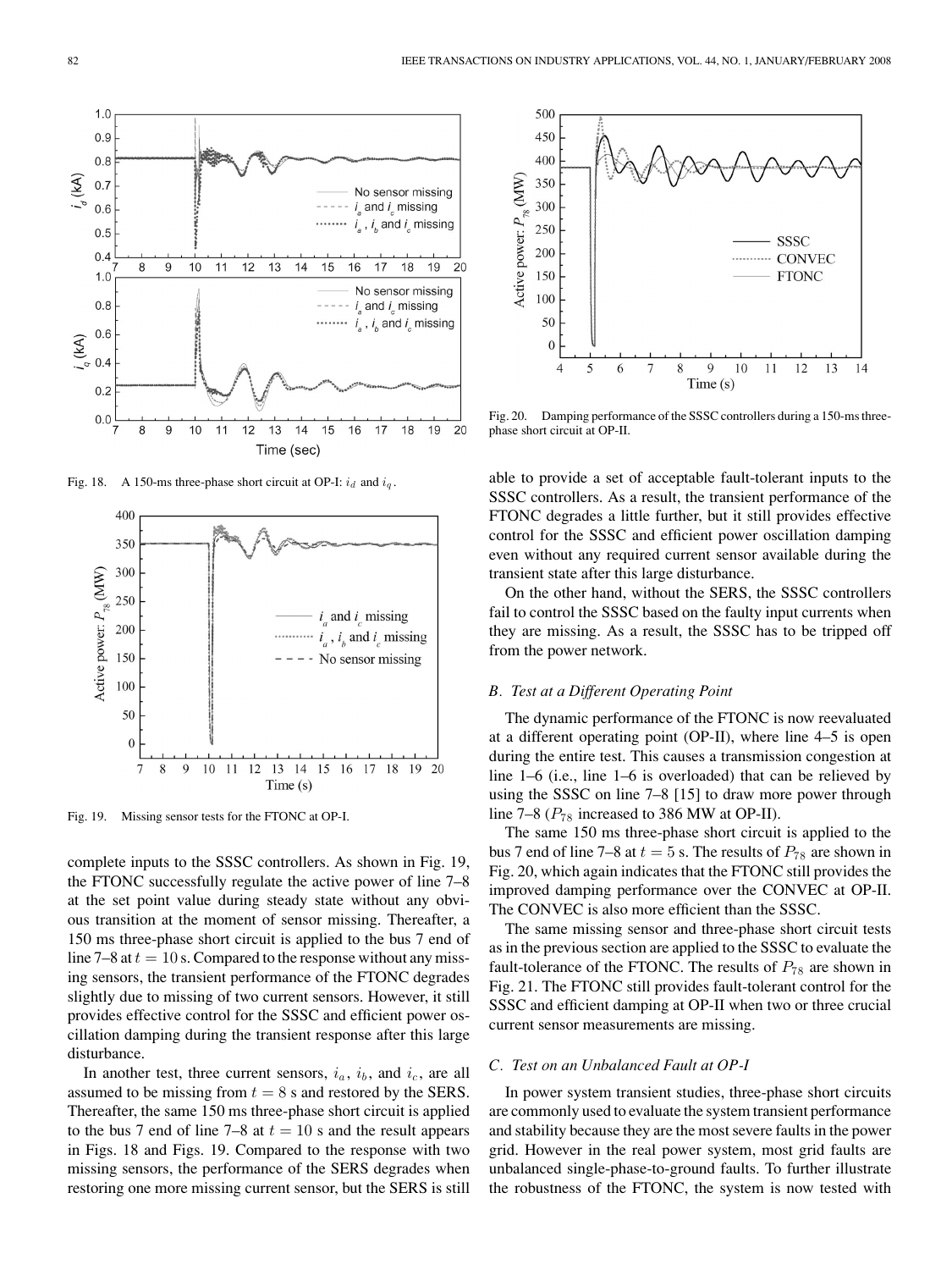

Fig. 18. A 150-ms three-phase short circuit at OP-I:  $i_d$  and  $i_g$ .



Fig. 19. Missing sensor tests for the FTONC at OP-I.

complete inputs to the SSSC controllers. As shown in Fig. 19, the FTONC successfully regulate the active power of line 7–8 at the set point value during steady state without any obvious transition at the moment of sensor missing. Thereafter, a 150 ms three-phase short circuit is applied to the bus 7 end of line 7–8 at  $t = 10$  s. Compared to the response without any missing sensors, the transient performance of the FTONC degrades slightly due to missing of two current sensors. However, it still provides effective control for the SSSC and efficient power oscillation damping during the transient response after this large disturbance.

In another test, three current sensors,  $i_a$ ,  $i_b$ , and  $i_c$ , are all assumed to be missing from  $t = 8$  s and restored by the SERS. Thereafter, the same 150 ms three-phase short circuit is applied to the bus 7 end of line 7–8 at  $t = 10$  s and the result appears in Figs. 18 and Figs. 19. Compared to the response with two missing sensors, the performance of the SERS degrades when restoring one more missing current sensor, but the SERS is still



Fig. 20. Damping performance of the SSSC controllers during a 150-ms threephase short circuit at OP-II.

able to provide a set of acceptable fault-tolerant inputs to the SSSC controllers. As a result, the transient performance of the FTONC degrades a little further, but it still provides effective control for the SSSC and efficient power oscillation damping even without any required current sensor available during the transient state after this large disturbance.

On the other hand, without the SERS, the SSSC controllers fail to control the SSSC based on the faulty input currents when they are missing. As a result, the SSSC has to be tripped off from the power network.

# *B. Test at a Different Operating Point*

The dynamic performance of the FTONC is now reevaluated at a different operating point (OP-II), where line 4–5 is open during the entire test. This causes a transmission congestion at line 1–6 (i.e., line 1–6 is overloaded) that can be relieved by using the SSSC on line 7–8 [15] to draw more power through line 7–8 ( $P_{78}$  increased to 386 MW at OP-II).

The same 150 ms three-phase short circuit is applied to the bus 7 end of line 7–8 at  $t = 5$  s. The results of  $P_{78}$  are shown in Fig. 20, which again indicates that the FTONC still provides the improved damping performance over the CONVEC at OP-II. The CONVEC is also more efficient than the SSSC.

The same missing sensor and three-phase short circuit tests as in the previous section are applied to the SSSC to evaluate the fault-tolerance of the FTONC. The results of  $P_{78}$  are shown in Fig. 21. The FTONC still provides fault-tolerant control for the SSSC and efficient damping at OP-II when two or three crucial current sensor measurements are missing.

# *C. Test on an Unbalanced Fault at OP-I*

In power system transient studies, three-phase short circuits are commonly used to evaluate the system transient performance and stability because they are the most severe faults in the power grid. However in the real power system, most grid faults are unbalanced single-phase-to-ground faults. To further illustrate the robustness of the FTONC, the system is now tested with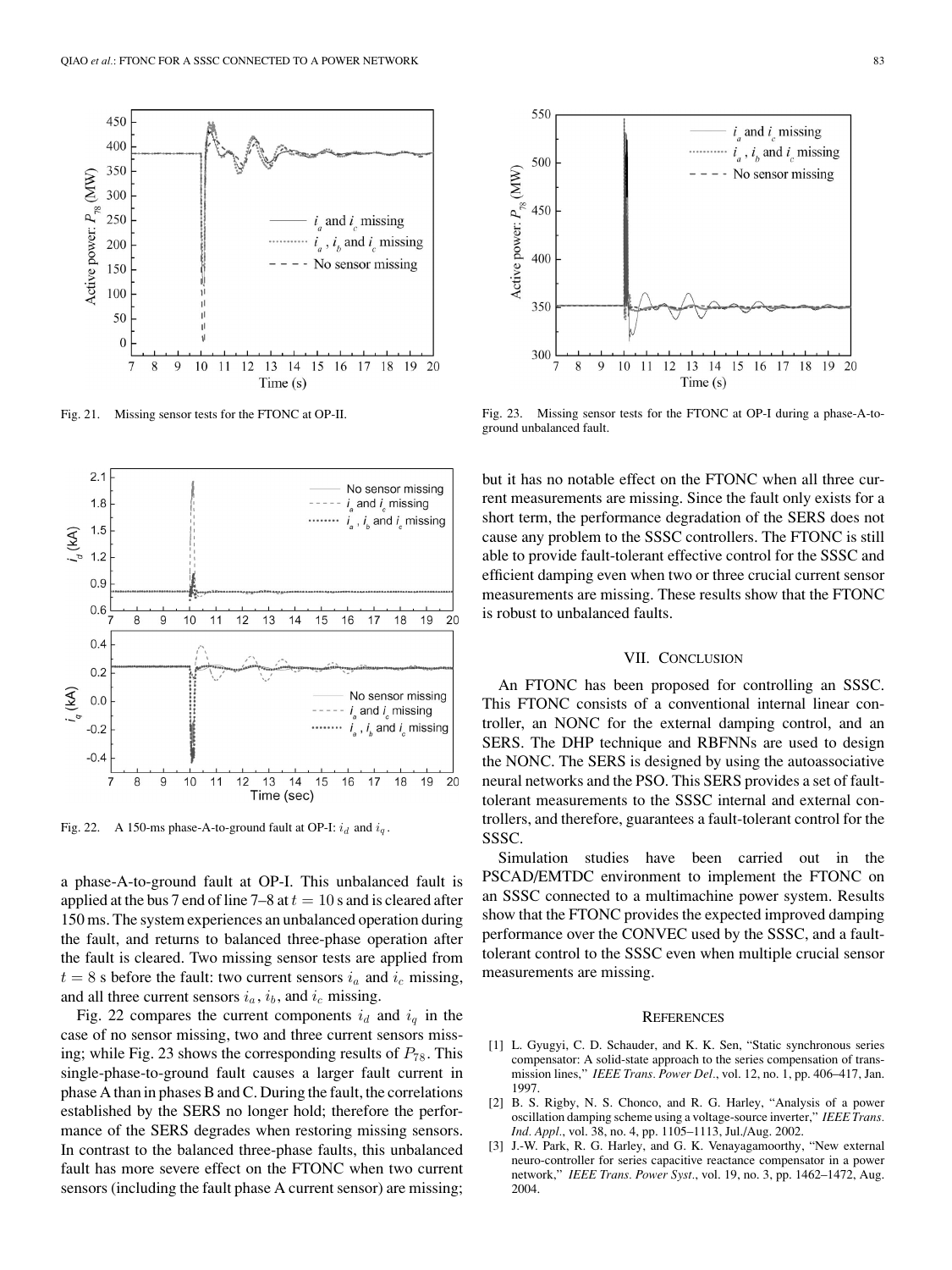

Fig. 21. Missing sensor tests for the FTONC at OP-II.



Fig. 22. A 150-ms phase-A-to-ground fault at OP-I:  $i_d$  and  $i_q$ .

a phase-A-to-ground fault at OP-I. This unbalanced fault is applied at the bus 7 end of line 7–8 at  $t = 10$  s and is cleared after 150 ms. The system experiences an unbalanced operation during the fault, and returns to balanced three-phase operation after the fault is cleared. Two missing sensor tests are applied from  $t = 8$  s before the fault: two current sensors  $i_a$  and  $i_c$  missing, and all three current sensors  $i_a$ ,  $i_b$ , and  $i_c$  missing.

Fig. 22 compares the current components  $i_d$  and  $i_q$  in the case of no sensor missing, two and three current sensors missing; while Fig. 23 shows the corresponding results of  $P_{78}$ . This single-phase-to-ground fault causes a larger fault current in phase A than in phases B and C. During the fault, the correlations established by the SERS no longer hold; therefore the performance of the SERS degrades when restoring missing sensors. In contrast to the balanced three-phase faults, this unbalanced fault has more severe effect on the FTONC when two current sensors (including the fault phase A current sensor) are missing;



Fig. 23. Missing sensor tests for the FTONC at OP-I during a phase-A-toground unbalanced fault.

but it has no notable effect on the FTONC when all three current measurements are missing. Since the fault only exists for a short term, the performance degradation of the SERS does not cause any problem to the SSSC controllers. The FTONC is still able to provide fault-tolerant effective control for the SSSC and efficient damping even when two or three crucial current sensor measurements are missing. These results show that the FTONC is robust to unbalanced faults.

### VII. CONCLUSION

An FTONC has been proposed for controlling an SSSC. This FTONC consists of a conventional internal linear controller, an NONC for the external damping control, and an SERS. The DHP technique and RBFNNs are used to design the NONC. The SERS is designed by using the autoassociative neural networks and the PSO. This SERS provides a set of faulttolerant measurements to the SSSC internal and external controllers, and therefore, guarantees a fault-tolerant control for the SSSC.

Simulation studies have been carried out in the PSCAD/EMTDC environment to implement the FTONC on an SSSC connected to a multimachine power system. Results show that the FTONC provides the expected improved damping performance over the CONVEC used by the SSSC, and a faulttolerant control to the SSSC even when multiple crucial sensor measurements are missing.

#### **REFERENCES**

- [1] L. Gyugyi, C. D. Schauder, and K. K. Sen, "Static synchronous series compensator: A solid-state approach to the series compensation of transmission lines," *IEEE Trans. Power Del.*, vol. 12, no. 1, pp. 406–417, Jan. 1997.
- [2] B. S. Rigby, N. S. Chonco, and R. G. Harley, "Analysis of a power oscillation damping scheme using a voltage-source inverter," *IEEE Trans. Ind. Appl.*, vol. 38, no. 4, pp. 1105–1113, Jul./Aug. 2002.
- [3] J.-W. Park, R. G. Harley, and G. K. Venayagamoorthy, "New external neuro-controller for series capacitive reactance compensator in a power network," *IEEE Trans. Power Syst.*, vol. 19, no. 3, pp. 1462–1472, Aug. 2004.